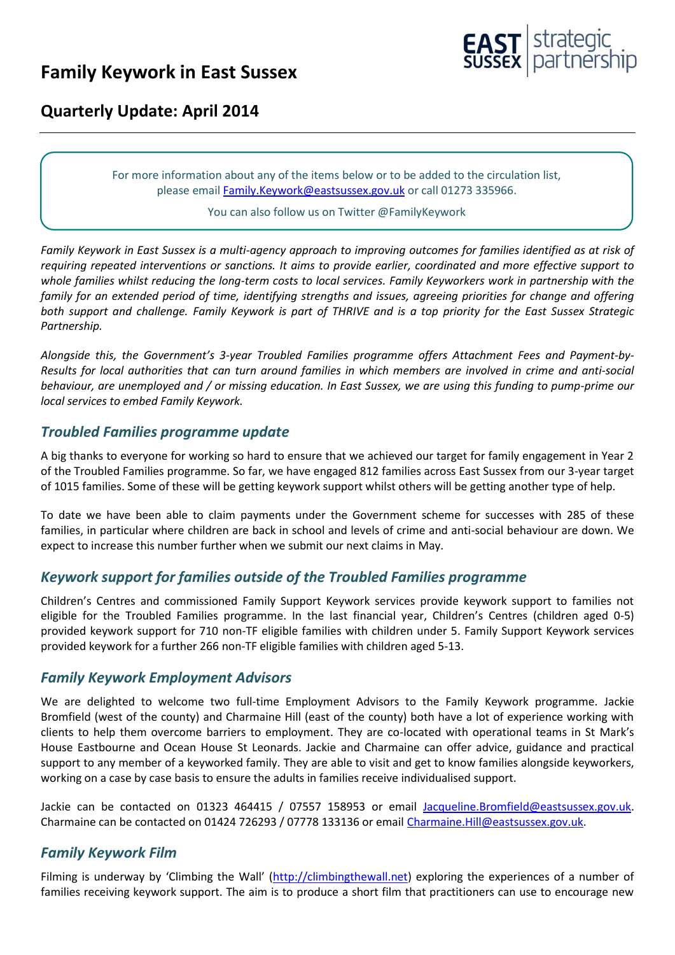# **Family Keywork in East Sussex**



## **Quarterly Update: April 2014**

For more information about any of the items below or to be added to the circulation list, please emai[l Family.Keywork@eastsussex.gov.uk](mailto:Family.Keywork@eastsussex.gov.uk) or call 01273 335966.

#### You can also follow us on Twitter @FamilyKeywork

*Family Keywork in East Sussex is a multi-agency approach to improving outcomes for families identified as at risk of requiring repeated interventions or sanctions. It aims to provide earlier, coordinated and more effective support to whole families whilst reducing the long-term costs to local services. Family Keyworkers work in partnership with the family for an extended period of time, identifying strengths and issues, agreeing priorities for change and offering both support and challenge. Family Keywork is part of THRIVE and is a top priority for the East Sussex Strategic Partnership.*

*Alongside this, the Government's 3-year Troubled Families programme offers Attachment Fees and Payment-by-Results for local authorities that can turn around families in which members are involved in crime and anti-social behaviour, are unemployed and / or missing education. In East Sussex, we are using this funding to pump-prime our local services to embed Family Keywork.*

#### *Troubled Families programme update*

A big thanks to everyone for working so hard to ensure that we achieved our target for family engagement in Year 2 of the Troubled Families programme. So far, we have engaged 812 families across East Sussex from our 3-year target of 1015 families. Some of these will be getting keywork support whilst others will be getting another type of help.

To date we have been able to claim payments under the Government scheme for successes with 285 of these families, in particular where children are back in school and levels of crime and anti-social behaviour are down. We expect to increase this number further when we submit our next claims in May.

#### *Keywork support for families outside of the Troubled Families programme*

Children's Centres and commissioned Family Support Keywork services provide keywork support to families not eligible for the Troubled Families programme. In the last financial year, Children's Centres (children aged 0-5) provided keywork support for 710 non-TF eligible families with children under 5. Family Support Keywork services provided keywork for a further 266 non-TF eligible families with children aged 5-13.

#### *Family Keywork Employment Advisors*

We are delighted to welcome two full-time Employment Advisors to the Family Keywork programme. Jackie Bromfield (west of the county) and Charmaine Hill (east of the county) both have a lot of experience working with clients to help them overcome barriers to employment. They are co-located with operational teams in St Mark's House Eastbourne and Ocean House St Leonards. Jackie and Charmaine can offer advice, guidance and practical support to any member of a keyworked family. They are able to visit and get to know families alongside keyworkers, working on a case by case basis to ensure the adults in families receive individualised support.

Jackie can be contacted on 01323 464415 / 07557 158953 or email [Jacqueline.Bromfield@eastsussex.gov.uk.](mailto:Jacqueline.Bromfield@eastsussex.gov.uk) Charmaine can be contacted on 01424 726293 / 07778 133136 or email [Charmaine.Hill@eastsussex.gov.uk.](mailto:Charmaine.Hill@eastsussex.gov.uk)

#### *Family Keywork Film*

Filming is underway by 'Climbing the Wall' ([http://climbingthewall.net\)](http://climbingthewall.net/) exploring the experiences of a number of families receiving keywork support. The aim is to produce a short film that practitioners can use to encourage new